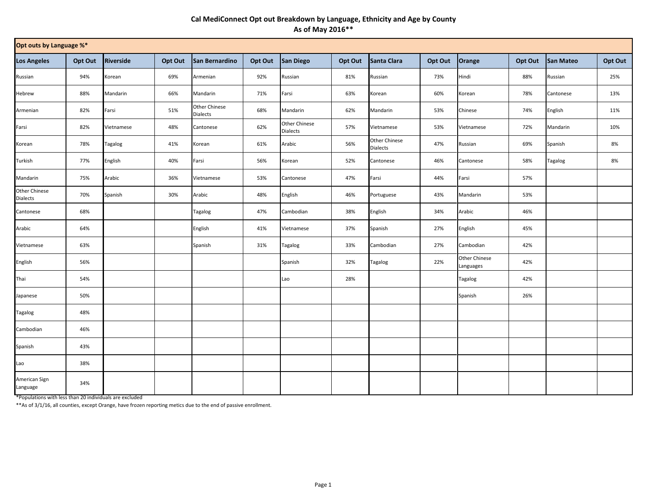## **Cal MediConnect Opt out Breakdown by Language, Ethnicity and Age by County As of May 2016\*\***

| Opt outs by Language %*   |         |                |         |                                  |         |                           |         |                                  |         |                                   |         |                |         |
|---------------------------|---------|----------------|---------|----------------------------------|---------|---------------------------|---------|----------------------------------|---------|-----------------------------------|---------|----------------|---------|
| <b>Los Angeles</b>        | Opt Out | Riverside      | Opt Out | San Bernardino                   | Opt Out | San Diego                 | Opt Out | Santa Clara                      | Opt Out | Orange                            | Opt Out | San Mateo      | Opt Out |
| Russian                   | 94%     | Korean         | 69%     | Armenian                         | 92%     | Russian                   | 81%     | Russian                          | 73%     | Hindi                             | 88%     | Russian        | 25%     |
| Hebrew                    | 88%     | Mandarin       | 66%     | Mandarin                         | 71%     | Farsi                     | 63%     | Korean                           | 60%     | Korean                            | 78%     | Cantonese      | 13%     |
| Armenian                  | 82%     | Farsi          | 51%     | Other Chinese<br><b>Dialects</b> | 68%     | Mandarin                  | 62%     | Mandarin                         | 53%     | Chinese                           | 74%     | English        | 11%     |
| Farsi                     | 82%     | Vietnamese     | 48%     | Cantonese                        | 62%     | Other Chinese<br>Dialects | 57%     | Vietnamese                       | 53%     | Vietnamese                        | 72%     | Mandarin       | 10%     |
| Korean                    | 78%     | <b>Tagalog</b> | 41%     | Korean                           | 61%     | Arabic                    | 56%     | Other Chinese<br><b>Dialects</b> | 47%     | Russian                           | 69%     | Spanish        | 8%      |
| Turkish                   | 77%     | English        | 40%     | Farsi                            | 56%     | Korean                    | 52%     | Cantonese                        | 46%     | Cantonese                         | 58%     | <b>Tagalog</b> | 8%      |
| Mandarin                  | 75%     | Arabic         | 36%     | Vietnamese                       | 53%     | Cantonese                 | 47%     | Farsi                            | 44%     | Farsi                             | 57%     |                |         |
| Other Chinese<br>Dialects | 70%     | Spanish        | 30%     | Arabic                           | 48%     | English                   | 46%     | Portuguese                       | 43%     | Mandarin                          | 53%     |                |         |
| Cantonese                 | 68%     |                |         | Tagalog                          | 47%     | Cambodian                 | 38%     | English                          | 34%     | Arabic                            | 46%     |                |         |
| Arabic                    | 64%     |                |         | English                          | 41%     | Vietnamese                | 37%     | Spanish                          | 27%     | English                           | 45%     |                |         |
| Vietnamese                | 63%     |                |         | Spanish                          | 31%     | Tagalog                   | 33%     | Cambodian                        | 27%     | Cambodian                         | 42%     |                |         |
| English                   | 56%     |                |         |                                  |         | Spanish                   | 32%     | Tagalog                          | 22%     | <b>Other Chinese</b><br>Languages | 42%     |                |         |
| Thai                      | 54%     |                |         |                                  |         | Lao                       | 28%     |                                  |         | <b>Tagalog</b>                    | 42%     |                |         |
| Japanese                  | 50%     |                |         |                                  |         |                           |         |                                  |         | Spanish                           | 26%     |                |         |
| <b>Tagalog</b>            | 48%     |                |         |                                  |         |                           |         |                                  |         |                                   |         |                |         |
| Cambodian                 | 46%     |                |         |                                  |         |                           |         |                                  |         |                                   |         |                |         |
| Spanish                   | 43%     |                |         |                                  |         |                           |         |                                  |         |                                   |         |                |         |
| Lao                       | 38%     |                |         |                                  |         |                           |         |                                  |         |                                   |         |                |         |
| American Sign<br>Language | 34%     |                |         |                                  |         |                           |         |                                  |         |                                   |         |                |         |

\*Populations with less than 20 individuals are excluded

\*\*As of 3/1/16, all counties, except Orange, have frozen reporting metics due to the end of passive enrollment.